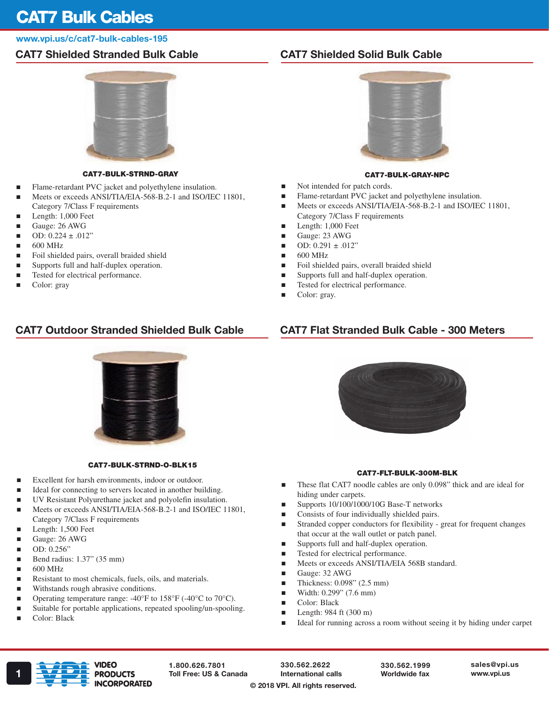# CAT7 Bulk Cables

### www.vpi.us/c/cat7-bulk-cables-195

## CAT7 Shielded Stranded Bulk Cable



#### CAT7-BULK-STRND-GRAY

- Flame-retardant PVC jacket and polyethylene insulation.
- Meets or exceeds ANSI/TIA/EIA-568-B.2-1 and ISO/IEC 11801,
- Category 7/Class F requirements
- Length: 1,000 Feet
- Gauge: 26 AWG
- OD: 0.224 ± .012"
- 600 MHz
- Foil shielded pairs, overall braided shield
- Supports full and half-duplex operation.
- Tested for electrical performance.
- Color: gray

# CAT7 Outdoor Stranded Shielded Bulk Cable



CAT7-BULK-STRND-O-BLK15

- Excellent for harsh environments, indoor or outdoor.
- Ideal for connecting to servers located in another building.
- UV Resistant Polyurethane jacket and polyolefin insulation.
- Meets or exceeds ANSI/TIA/EIA-568-B.2-1 and ISO/IEC 11801, Category 7/Class F requirements
- Length: 1,500 Feet
- Gauge: 26 AWG
- OD: 0.256"
- Bend radius: 1.37" (35 mm)
- 600 MHz
- Resistant to most chemicals, fuels, oils, and materials.
- Withstands rough abrasive conditions.
- Operating temperature range: -40°F to 158°F (-40°C to 70°C).
- Suitable for portable applications, repeated spooling/un-spooling.
- Color: Black





#### CAT7-BULK-GRAY-NPC

- Not intended for patch cords.
- Flame-retardant PVC jacket and polyethylene insulation.
- Meets or exceeds ANSI/TIA/EIA-568-B.2-1 and ISO/IEC 11801, Category 7/Class F requirements
- $\blacksquare$  Length: 1,000 Feet
- Gauge:  $23$  AWG
- OD: 0.291 ± .012"
- $\Box$  600 MHz
- Foil shielded pairs, overall braided shield
- Supports full and half-duplex operation.
- Tested for electrical performance.
- Color: gray.

## CAT7 Flat Stranded Bulk Cable - 300 Meters



#### CAT7-FLT-BULK-300M-BLK

- These flat CAT7 noodle cables are only 0.098" thick and are ideal for hiding under carpets.
- Supports 10/100/1000/10G Base-T networks
- Consists of four individually shielded pairs.
- Stranded copper conductors for flexibility great for frequent changes that occur at the wall outlet or patch panel.
- **Supports full and half-duplex operation.**
- Tested for electrical performance.
- Meets or exceeds ANSI/TIA/EIA 568B standard.
- Gauge: 32 AWG
- $\blacksquare$  Thickness: 0.098" (2.5 mm)
- $\blacksquare$  Width: 0.299" (7.6 mm)
- Color: Black
- **Length: 984 ft (300 m)**
- Ideal for running across a room without seeing it by hiding under carpet



1.800.626.7801

330.562.2622 International calls

330.562.1999 Worldwide fax sales@vpi.us

© 2018 VPI. All rights reserved.